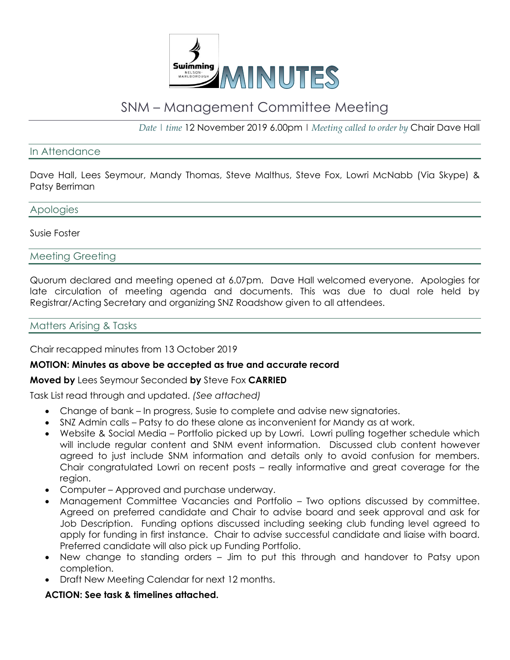

# SNM – Management Committee Meeting

*Date | time* 12 November 2019 6.00pm | *Meeting called to order by* Chair Dave Hall

## In Attendance

Dave Hall, Lees Seymour, Mandy Thomas, Steve Malthus, Steve Fox, Lowri McNabb (Via Skype) & Patsy Berriman

#### Apologies

#### Susie Foster

#### Meeting Greeting

Quorum declared and meeting opened at 6.07pm. Dave Hall welcomed everyone. Apologies for late circulation of meeting agenda and documents. This was due to dual role held by Registrar/Acting Secretary and organizing SNZ Roadshow given to all attendees.

## Matters Arising & Tasks

Chair recapped minutes from 13 October 2019

#### **MOTION: Minutes as above be accepted as true and accurate record**

#### **Moved by** Lees Seymour Seconded **by** Steve Fox **CARRIED**

Task List read through and updated. *(See attached)*

- Change of bank In progress, Susie to complete and advise new signatories.
- SNZ Admin calls Patsy to do these alone as inconvenient for Mandy as at work.
- Website & Social Media Portfolio picked up by Lowri. Lowri pulling together schedule which will include regular content and SNM event information. Discussed club content however agreed to just include SNM information and details only to avoid confusion for members. Chair congratulated Lowri on recent posts – really informative and great coverage for the region.
- Computer Approved and purchase underway.
- Management Committee Vacancies and Portfolio Two options discussed by committee. Agreed on preferred candidate and Chair to advise board and seek approval and ask for Job Description. Funding options discussed including seeking club funding level agreed to apply for funding in first instance. Chair to advise successful candidate and liaise with board. Preferred candidate will also pick up Funding Portfolio.
- New change to standing orders Jim to put this through and handover to Patsy upon completion.
- Draft New Meeting Calendar for next 12 months.

#### **ACTION: See task & timelines attached.**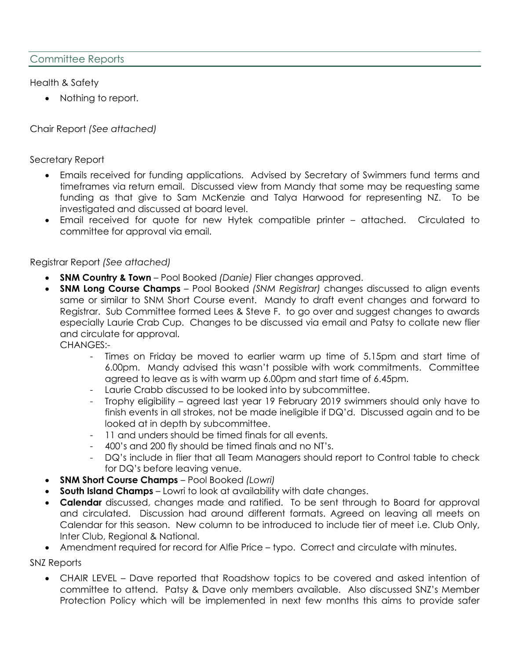Health & Safety

• Nothing to report.

Chair Report *(See attached)*

Secretary Report

- Emails received for funding applications. Advised by Secretary of Swimmers fund terms and timeframes via return email. Discussed view from Mandy that some may be requesting same funding as that give to Sam McKenzie and Talya Harwood for representing NZ. To be investigated and discussed at board level.
- Email received for quote for new Hytek compatible printer attached. Circulated to committee for approval via email.

Registrar Report *(See attached)*

- **SNM Country & Town** Pool Booked *(Danie)* Flier changes approved.
- **SNM Long Course Champs** Pool Booked *(SNM Registrar)* changes discussed to align events same or similar to SNM Short Course event. Mandy to draft event changes and forward to Registrar. Sub Committee formed Lees & Steve F. to go over and suggest changes to awards especially Laurie Crab Cup. Changes to be discussed via email and Patsy to collate new flier and circulate for approval.

CHANGES:-

- Times on Friday be moved to earlier warm up time of 5.15pm and start time of 6.00pm. Mandy advised this wasn't possible with work commitments. Committee agreed to leave as is with warm up 6.00pm and start time of 6.45pm.
- Laurie Crabb discussed to be looked into by subcommittee.
- Trophy eligibility agreed last year 19 February 2019 swimmers should only have to finish events in all strokes, not be made ineligible if DQ'd. Discussed again and to be looked at in depth by subcommittee.
- 11 and unders should be timed finals for all events.
- 400's and 200 fly should be timed finals and no NT's.
- DQ's include in flier that all Team Managers should report to Control table to check for DQ's before leaving venue.
- **SNM Short Course Champs** Pool Booked *(Lowri)*
- **South Island Champs** Lowri to look at availability with date changes.
- **Calendar** discussed, changes made and ratified. To be sent through to Board for approval and circulated. Discussion had around different formats. Agreed on leaving all meets on Calendar for this season. New column to be introduced to include tier of meet i.e. Club Only, Inter Club, Regional & National.
- Amendment required for record for Alfie Price typo. Correct and circulate with minutes.

SNZ Reports

• CHAIR LEVEL – Dave reported that Roadshow topics to be covered and asked intention of committee to attend. Patsy & Dave only members available. Also discussed SNZ's Member Protection Policy which will be implemented in next few months this aims to provide safer